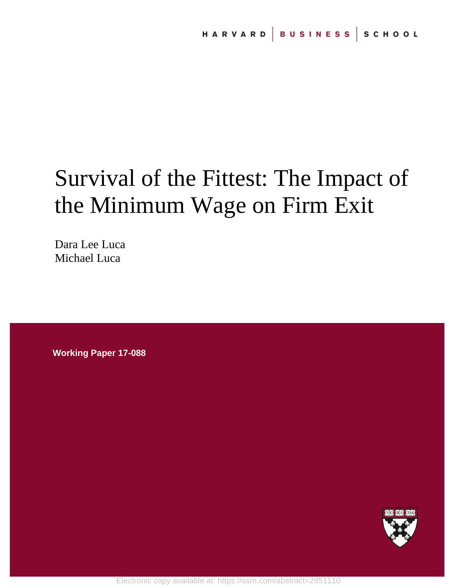# Survival of the Fittest: The Impact of the Minimum Wage on Firm Exit

Dara Lee Luca Michael Luca

**Working Paper 17-088**

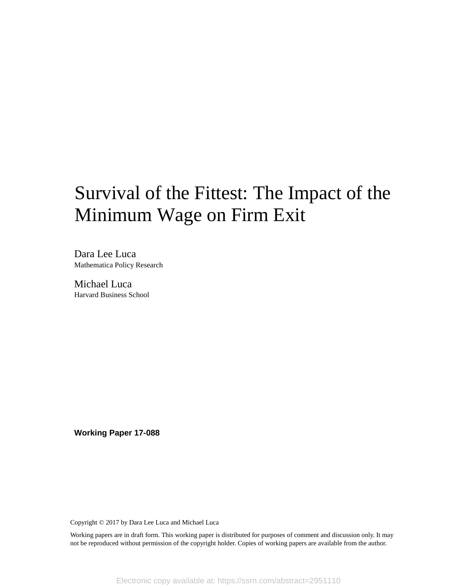# Survival of the Fittest: The Impact of the Minimum Wage on Firm Exit

Dara Lee Luca Mathematica Policy Research

Michael Luca Harvard Business School

**Working Paper 17-088**

Copyright © 2017 by Dara Lee Luca and Michael Luca

Working papers are in draft form. This working paper is distributed for purposes of comment and discussion only. It may not be reproduced without permission of the copyright holder. Copies of working papers are available from the author.

Electronic copy available at: https://ssrn.com/abstract=2951110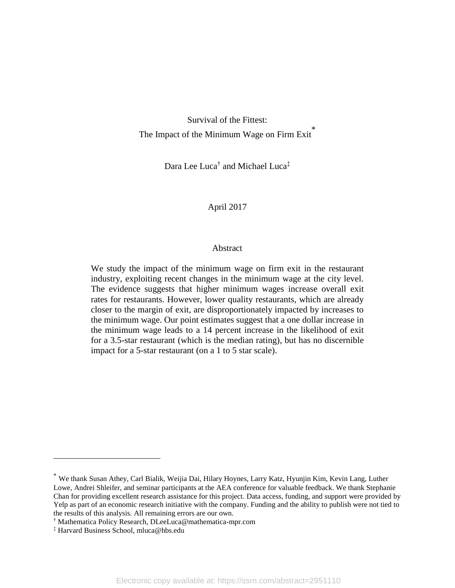Survival of the Fittest: The Impact of the Minimum Wage on Firm  $Exit^*$ 

Dara Lee Luca† and Michael Luca‡

#### April 2017

#### Abstract

We study the impact of the minimum wage on firm exit in the restaurant industry, exploiting recent changes in the minimum wage at the city level. The evidence suggests that higher minimum wages increase overall exit rates for restaurants. However, lower quality restaurants, which are already closer to the margin of exit, are disproportionately impacted by increases to the minimum wage. Our point estimates suggest that a one dollar increase in the minimum wage leads to a 14 percent increase in the likelihood of exit for a 3.5-star restaurant (which is the median rating), but has no discernible impact for a 5-star restaurant (on a 1 to 5 star scale).

 $\overline{a}$ 

<sup>\*</sup> We thank Susan Athey, Carl Bialik, Weijia Dai, Hilary Hoynes, Larry Katz, Hyunjin Kim, Kevin Lang, Luther Lowe, Andrei Shleifer, and seminar participants at the AEA conference for valuable feedback. We thank Stephanie Chan for providing excellent research assistance for this project. Data access, funding, and support were provided by Yelp as part of an economic research initiative with the company. Funding and the ability to publish were not tied to the results of this analysis. All remaining errors are our own.

<sup>†</sup> Mathematica Policy Research, DLeeLuca@mathematica-mpr.com

<sup>‡</sup> Harvard Business School, mluca@hbs.edu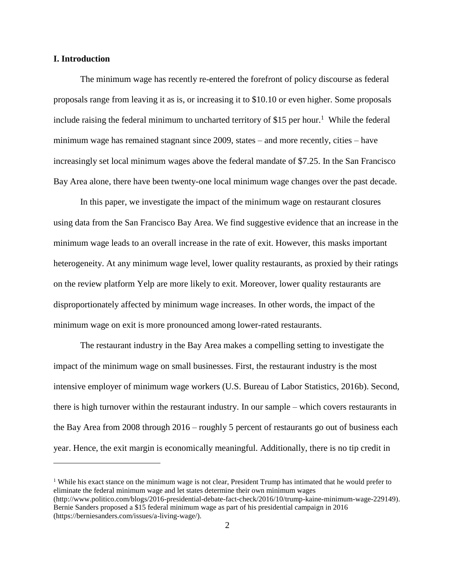#### **I. Introduction**

 $\overline{a}$ 

The minimum wage has recently re-entered the forefront of policy discourse as federal proposals range from leaving it as is, or increasing it to \$10.10 or even higher. Some proposals include raising the federal minimum to uncharted territory of \$15 per hour.<sup>1</sup> While the federal minimum wage has remained stagnant since 2009, states – and more recently, cities – have increasingly set local minimum wages above the federal mandate of \$7.25. In the San Francisco Bay Area alone, there have been twenty-one local minimum wage changes over the past decade.

In this paper, we investigate the impact of the minimum wage on restaurant closures using data from the San Francisco Bay Area. We find suggestive evidence that an increase in the minimum wage leads to an overall increase in the rate of exit. However, this masks important heterogeneity. At any minimum wage level, lower quality restaurants, as proxied by their ratings on the review platform Yelp are more likely to exit. Moreover, lower quality restaurants are disproportionately affected by minimum wage increases. In other words, the impact of the minimum wage on exit is more pronounced among lower-rated restaurants.

The restaurant industry in the Bay Area makes a compelling setting to investigate the impact of the minimum wage on small businesses. First, the restaurant industry is the most intensive employer of minimum wage workers (U.S. Bureau of Labor Statistics, 2016b). Second, there is high turnover within the restaurant industry. In our sample – which covers restaurants in the Bay Area from 2008 through 2016 – roughly 5 percent of restaurants go out of business each year. Hence, the exit margin is economically meaningful. Additionally, there is no tip credit in

<sup>1</sup> While his exact stance on the minimum wage is not clear, President Trump has intimated that he would prefer to eliminate the federal minimum wage and let states determine their own minimum wages (http://www.politico.com/blogs/2016-presidential-debate-fact-check/2016/10/trump-kaine-minimum-wage-229149). Bernie Sanders proposed a \$15 federal minimum wage as part of his presidential campaign in 2016 (https://berniesanders.com/issues/a-living-wage/).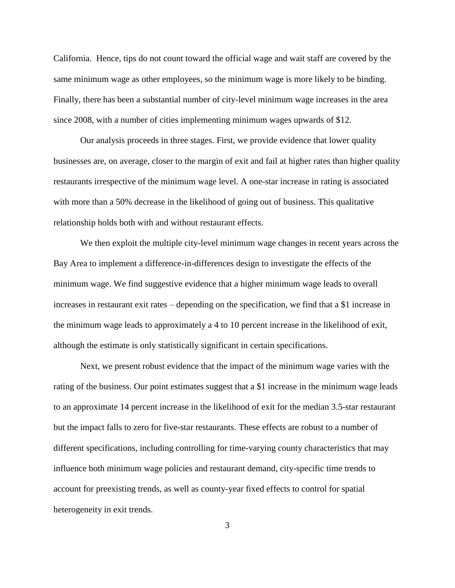California. Hence, tips do not count toward the official wage and wait staff are covered by the same minimum wage as other employees, so the minimum wage is more likely to be binding. Finally, there has been a substantial number of city-level minimum wage increases in the area since 2008, with a number of cities implementing minimum wages upwards of \$12.

Our analysis proceeds in three stages. First, we provide evidence that lower quality businesses are, on average, closer to the margin of exit and fail at higher rates than higher quality restaurants irrespective of the minimum wage level. A one-star increase in rating is associated with more than a 50% decrease in the likelihood of going out of business. This qualitative relationship holds both with and without restaurant effects.

We then exploit the multiple city-level minimum wage changes in recent years across the Bay Area to implement a difference-in-differences design to investigate the effects of the minimum wage. We find suggestive evidence that a higher minimum wage leads to overall increases in restaurant exit rates – depending on the specification, we find that a \$1 increase in the minimum wage leads to approximately a 4 to 10 percent increase in the likelihood of exit, although the estimate is only statistically significant in certain specifications.

Next, we present robust evidence that the impact of the minimum wage varies with the rating of the business. Our point estimates suggest that a \$1 increase in the minimum wage leads to an approximate 14 percent increase in the likelihood of exit for the median 3.5-star restaurant but the impact falls to zero for five-star restaurants. These effects are robust to a number of different specifications, including controlling for time-varying county characteristics that may influence both minimum wage policies and restaurant demand, city-specific time trends to account for preexisting trends, as well as county-year fixed effects to control for spatial heterogeneity in exit trends.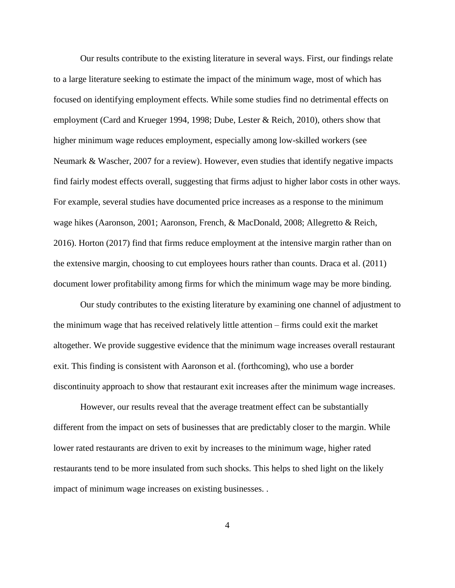Our results contribute to the existing literature in several ways. First, our findings relate to a large literature seeking to estimate the impact of the minimum wage, most of which has focused on identifying employment effects. While some studies find no detrimental effects on employment (Card and Krueger 1994, 1998; Dube, Lester & Reich, 2010), others show that higher minimum wage reduces employment, especially among low-skilled workers (see Neumark & Wascher, 2007 for a review). However, even studies that identify negative impacts find fairly modest effects overall, suggesting that firms adjust to higher labor costs in other ways. For example, several studies have documented price increases as a response to the minimum wage hikes (Aaronson, 2001; Aaronson, French, & MacDonald, 2008; Allegretto & Reich, 2016). Horton (2017) find that firms reduce employment at the intensive margin rather than on the extensive margin, choosing to cut employees hours rather than counts. Draca et al. (2011) document lower profitability among firms for which the minimum wage may be more binding.

Our study contributes to the existing literature by examining one channel of adjustment to the minimum wage that has received relatively little attention – firms could exit the market altogether. We provide suggestive evidence that the minimum wage increases overall restaurant exit. This finding is consistent with Aaronson et al. (forthcoming), who use a border discontinuity approach to show that restaurant exit increases after the minimum wage increases.

However, our results reveal that the average treatment effect can be substantially different from the impact on sets of businesses that are predictably closer to the margin. While lower rated restaurants are driven to exit by increases to the minimum wage, higher rated restaurants tend to be more insulated from such shocks. This helps to shed light on the likely impact of minimum wage increases on existing businesses. .

4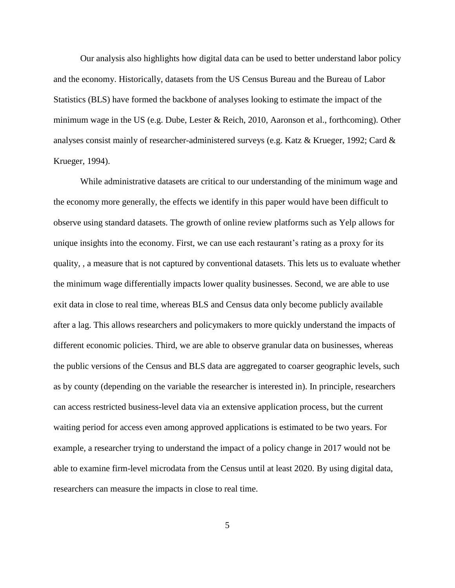Our analysis also highlights how digital data can be used to better understand labor policy and the economy. Historically, datasets from the US Census Bureau and the Bureau of Labor Statistics (BLS) have formed the backbone of analyses looking to estimate the impact of the minimum wage in the US (e.g. Dube, Lester & Reich, 2010, Aaronson et al., forthcoming). Other analyses consist mainly of researcher-administered surveys (e.g. Katz & Krueger, 1992; Card & Krueger, 1994).

While administrative datasets are critical to our understanding of the minimum wage and the economy more generally, the effects we identify in this paper would have been difficult to observe using standard datasets. The growth of online review platforms such as Yelp allows for unique insights into the economy. First, we can use each restaurant's rating as a proxy for its quality, , a measure that is not captured by conventional datasets. This lets us to evaluate whether the minimum wage differentially impacts lower quality businesses. Second, we are able to use exit data in close to real time, whereas BLS and Census data only become publicly available after a lag. This allows researchers and policymakers to more quickly understand the impacts of different economic policies. Third, we are able to observe granular data on businesses, whereas the public versions of the Census and BLS data are aggregated to coarser geographic levels, such as by county (depending on the variable the researcher is interested in). In principle, researchers can access restricted business-level data via an extensive application process, but the current waiting period for access even among approved applications is estimated to be two years. For example, a researcher trying to understand the impact of a policy change in 2017 would not be able to examine firm-level microdata from the Census until at least 2020. By using digital data, researchers can measure the impacts in close to real time.

5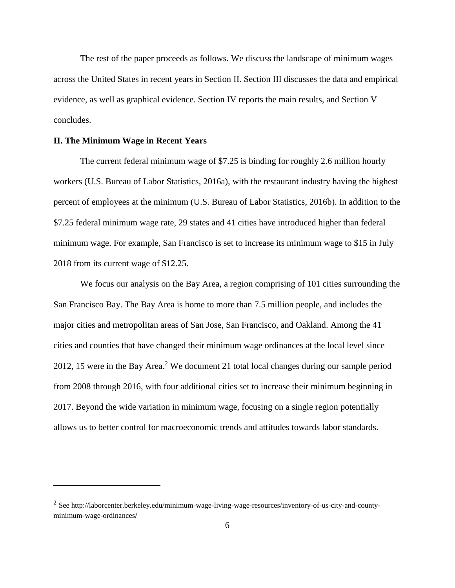The rest of the paper proceeds as follows. We discuss the landscape of minimum wages across the United States in recent years in Section II. Section III discusses the data and empirical evidence, as well as graphical evidence. Section IV reports the main results, and Section V concludes.

#### **II. The Minimum Wage in Recent Years**

 $\overline{a}$ 

The current federal minimum wage of \$7.25 is binding for roughly 2.6 million hourly workers (U.S. Bureau of Labor Statistics, 2016a), with the restaurant industry having the highest percent of employees at the minimum (U.S. Bureau of Labor Statistics, 2016b). In addition to the \$7.25 federal minimum wage rate, 29 states and 41 cities have introduced higher than federal minimum wage. For example, San Francisco is set to increase its minimum wage to \$15 in July 2018 from its current wage of \$12.25.

We focus our analysis on the Bay Area, a region comprising of 101 cities surrounding the San Francisco Bay. The Bay Area is home to more than 7.5 million people, and includes the major cities and metropolitan areas of San Jose, San Francisco, and Oakland. Among the 41 cities and counties that have changed their minimum wage ordinances at the local level since 2012, 15 were in the Bay Area.<sup>2</sup> We document 21 total local changes during our sample period from 2008 through 2016, with four additional cities set to increase their minimum beginning in 2017. Beyond the wide variation in minimum wage, focusing on a single region potentially allows us to better control for macroeconomic trends and attitudes towards labor standards.

<sup>&</sup>lt;sup>2</sup> See http://laborcenter.berkeley.edu/minimum-wage-living-wage-resources/inventory-of-us-city-and-countyminimum-wage-ordinances/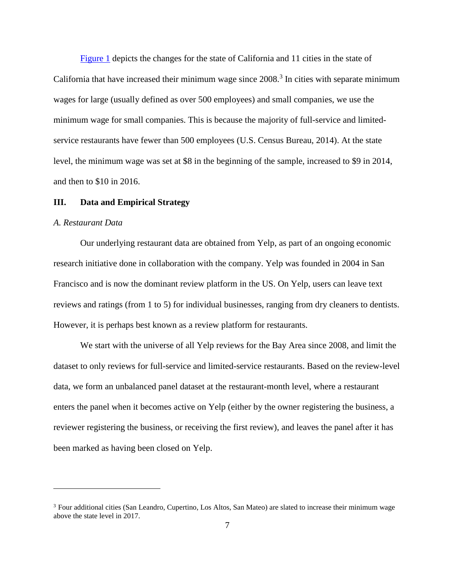[Figure 1](#page-22-0) depicts the changes for the state of California and 11 cities in the state of California that have increased their minimum wage since  $2008$ .<sup>3</sup> In cities with separate minimum wages for large (usually defined as over 500 employees) and small companies, we use the minimum wage for small companies. This is because the majority of full-service and limitedservice restaurants have fewer than 500 employees (U.S. Census Bureau, 2014). At the state level, the minimum wage was set at \$8 in the beginning of the sample, increased to \$9 in 2014, and then to \$10 in 2016.

#### **III. Data and Empirical Strategy**

#### *A. Restaurant Data*

 $\overline{a}$ 

Our underlying restaurant data are obtained from Yelp, as part of an ongoing economic research initiative done in collaboration with the company. Yelp was founded in 2004 in San Francisco and is now the dominant review platform in the US. On Yelp, users can leave text reviews and ratings (from 1 to 5) for individual businesses, ranging from dry cleaners to dentists. However, it is perhaps best known as a review platform for restaurants.

We start with the universe of all Yelp reviews for the Bay Area since 2008, and limit the dataset to only reviews for full-service and limited-service restaurants. Based on the review-level data, we form an unbalanced panel dataset at the restaurant-month level, where a restaurant enters the panel when it becomes active on Yelp (either by the owner registering the business, a reviewer registering the business, or receiving the first review), and leaves the panel after it has been marked as having been closed on Yelp.

<sup>&</sup>lt;sup>3</sup> Four additional cities (San Leandro, Cupertino, Los Altos, San Mateo) are slated to increase their minimum wage above the state level in 2017.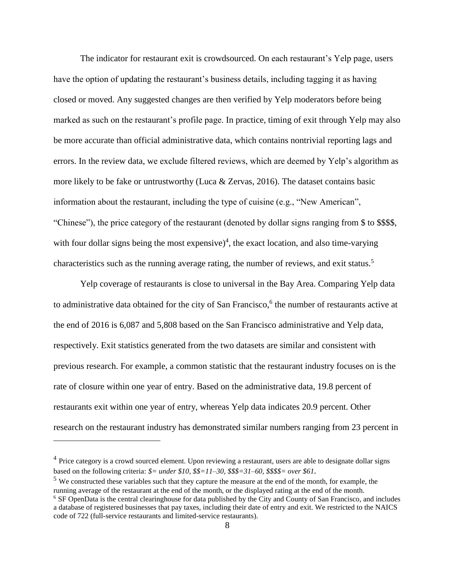The indicator for restaurant exit is crowdsourced. On each restaurant's Yelp page, users have the option of updating the restaurant's business details, including tagging it as having closed or moved. Any suggested changes are then verified by Yelp moderators before being marked as such on the restaurant's profile page. In practice, timing of exit through Yelp may also be more accurate than official administrative data, which contains nontrivial reporting lags and errors. In the review data, we exclude filtered reviews, which are deemed by Yelp's algorithm as more likely to be fake or untrustworthy (Luca & Zervas, 2016). The dataset contains basic information about the restaurant, including the type of cuisine (e.g., "New American", "Chinese"), the price category of the restaurant (denoted by dollar signs ranging from \$ to \$\$\$\$, with four dollar signs being the most expensive)<sup>4</sup>, the exact location, and also time-varying characteristics such as the running average rating, the number of reviews, and exit status.<sup>5</sup>

Yelp coverage of restaurants is close to universal in the Bay Area. Comparing Yelp data to administrative data obtained for the city of San Francisco,<sup>6</sup> the number of restaurants active at the end of 2016 is 6,087 and 5,808 based on the San Francisco administrative and Yelp data, respectively. Exit statistics generated from the two datasets are similar and consistent with previous research. For example, a common statistic that the restaurant industry focuses on is the rate of closure within one year of entry. Based on the administrative data, 19.8 percent of restaurants exit within one year of entry, whereas Yelp data indicates 20.9 percent. Other research on the restaurant industry has demonstrated similar numbers ranging from 23 percent in

 $\overline{a}$ 

<sup>&</sup>lt;sup>4</sup> Price category is a crowd sourced element. Upon reviewing a restaurant, users are able to designate dollar signs based on the following criteria:  $\$ = under \$10, \$\$ = 11 - 30, \$\$ \$ = 31 - 60, \$\$ \$ = over \$61$ .

<sup>&</sup>lt;sup>5</sup> We constructed these variables such that they capture the measure at the end of the month, for example, the running average of the restaurant at the end of the month, or the displayed rating at the end of the month. <sup>6</sup> SF OpenData is the central clearinghouse for data published by the City and County of San Francisco, and includes a database of registered businesses that pay taxes, including their date of entry and exit. We restricted to the NAICS code of 722 (full-service restaurants and limited-service restaurants).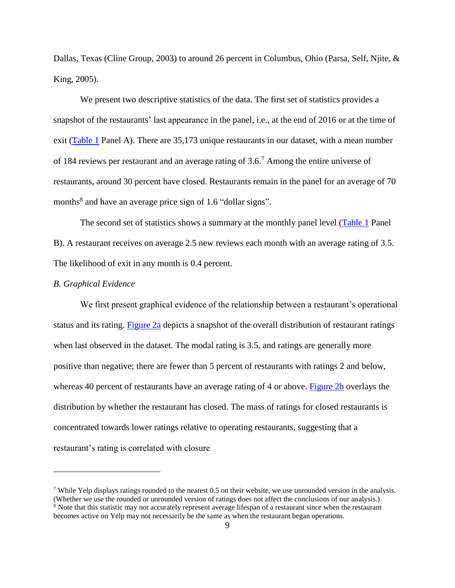Dallas, Texas (Cline Group, 2003) to around 26 percent in Columbus, Ohio (Parsa, Self, Njite, & King, 2005).

We present two descriptive statistics of the data. The first set of statistics provides a snapshot of the restaurants' last appearance in the panel, i.e., at the end of 2016 or at the time of exit [\(Table 1](#page-26-0) Panel A). There are 35,173 unique restaurants in our dataset, with a mean number of 184 reviews per restaurant and an average rating of 3.6.<sup>7</sup> Among the entire universe of restaurants, around 30 percent have closed. Restaurants remain in the panel for an average of 70 months<sup>8</sup> and have an average price sign of 1.6 "dollar signs".

The second set of statistics shows a summary at the monthly panel level [\(Table 1](#page-26-0) Panel) B). A restaurant receives on average 2.5 new reviews each month with an average rating of 3.5. The likelihood of exit in any month is 0.4 percent.

#### *B. Graphical Evidence*

 $\overline{a}$ 

We first present graphical evidence of the relationship between a restaurant's operational status and its rating. [Figure 2a](#page-23-0) depicts a snapshot of the overall distribution of restaurant ratings when last observed in the dataset. The modal rating is 3.5, and ratings are generally more positive than negative; there are fewer than 5 percent of restaurants with ratings 2 and below, whereas 40 percent of restaurants have an average rating of 4 or above. [Figure 2b](#page-23-1) overlays the distribution by whether the restaurant has closed. The mass of ratings for closed restaurants is concentrated towards lower ratings relative to operating restaurants, suggesting that a restaurant's rating is correlated with closure

<sup>&</sup>lt;sup>7</sup> While Yelp displays ratings rounded to the nearest 0.5 on their website, we use unrounded version in the analysis. (Whether we use the rounded or unrounded version of ratings does not affect the conclusions of our analysis.)  $8$  Note that this statistic may not accurately represent average lifespan of a restaurant since when the restaurant

becomes active on Yelp may not necessarily be the same as when the restaurant began operations.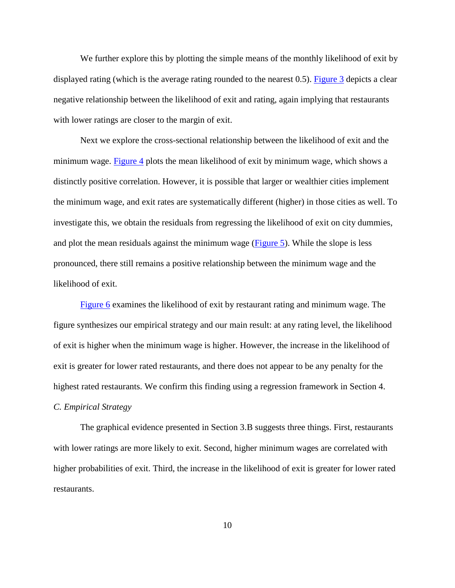We further explore this by plotting the simple means of the monthly likelihood of exit by displayed rating (which is the average rating rounded to the nearest 0.5). [Figure 3](#page-24-0) depicts a clear negative relationship between the likelihood of exit and rating, again implying that restaurants with lower ratings are closer to the margin of exit.

Next we explore the cross-sectional relationship between the likelihood of exit and the minimum wage. [Figure 4](#page-24-1) plots the mean likelihood of exit by minimum wage, which shows a distinctly positive correlation. However, it is possible that larger or wealthier cities implement the minimum wage, and exit rates are systematically different (higher) in those cities as well. To investigate this, we obtain the residuals from regressing the likelihood of exit on city dummies, and plot the mean residuals against the minimum wage [\(Figure 5\)](#page-25-0). While the slope is less pronounced, there still remains a positive relationship between the minimum wage and the likelihood of exit.

[Figure 6](#page-25-1) examines the likelihood of exit by restaurant rating and minimum wage. The figure synthesizes our empirical strategy and our main result: at any rating level, the likelihood of exit is higher when the minimum wage is higher. However, the increase in the likelihood of exit is greater for lower rated restaurants, and there does not appear to be any penalty for the highest rated restaurants. We confirm this finding using a regression framework in Section 4. *C. Empirical Strategy*

The graphical evidence presented in Section 3.B suggests three things. First, restaurants with lower ratings are more likely to exit. Second, higher minimum wages are correlated with higher probabilities of exit. Third, the increase in the likelihood of exit is greater for lower rated restaurants.

10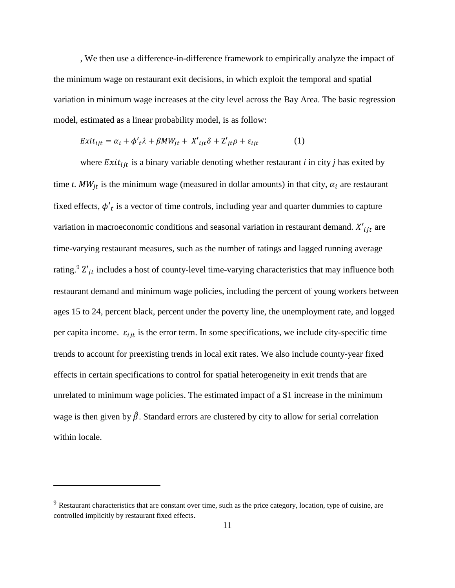, We then use a difference-in-difference framework to empirically analyze the impact of the minimum wage on restaurant exit decisions, in which exploit the temporal and spatial variation in minimum wage increases at the city level across the Bay Area. The basic regression model, estimated as a linear probability model, is as follow:

$$
Exit_{ijt} = \alpha_i + \phi'_t \lambda + \beta MW_{jt} + X'_{ijt} \delta + Z'_{jt} \rho + \varepsilon_{ijt}
$$
 (1)

where  $Exit_{ijt}$  is a binary variable denoting whether restaurant *i* in city *j* has exited by time *t*.  $MW_{jt}$  is the minimum wage (measured in dollar amounts) in that city,  $\alpha_i$  are restaurant fixed effects,  $\phi'$ <sub>t</sub> is a vector of time controls, including year and quarter dummies to capture variation in macroeconomic conditions and seasonal variation in restaurant demand.  $X'_{ijt}$  are time-varying restaurant measures, such as the number of ratings and lagged running average rating.<sup>9</sup>  $Z'_{it}$  includes a host of county-level time-varying characteristics that may influence both restaurant demand and minimum wage policies, including the percent of young workers between ages 15 to 24, percent black, percent under the poverty line, the unemployment rate, and logged per capita income.  $\varepsilon_{ijt}$  is the error term. In some specifications, we include city-specific time trends to account for preexisting trends in local exit rates. We also include county-year fixed effects in certain specifications to control for spatial heterogeneity in exit trends that are unrelated to minimum wage policies. The estimated impact of a \$1 increase in the minimum wage is then given by  $\hat{\beta}$ . Standard errors are clustered by city to allow for serial correlation within locale.

 $\overline{a}$ 

<sup>&</sup>lt;sup>9</sup> Restaurant characteristics that are constant over time, such as the price category, location, type of cuisine, are controlled implicitly by restaurant fixed effects.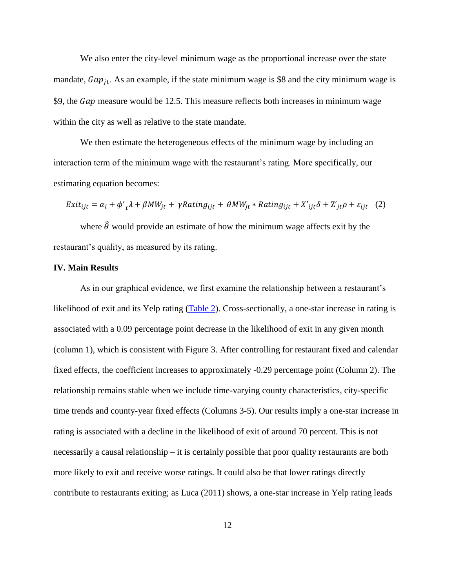We also enter the city-level minimum wage as the proportional increase over the state mandate,  $Gap_{jt}$ . As an example, if the state minimum wage is \$8 and the city minimum wage is \$9, the  $Gap$  measure would be 12.5. This measure reflects both increases in minimum wage within the city as well as relative to the state mandate.

We then estimate the heterogeneous effects of the minimum wage by including an interaction term of the minimum wage with the restaurant's rating. More specifically, our estimating equation becomes:

$$
Exit_{ijt} = \alpha_i + \phi'_{t} \lambda + \beta MW_{jt} + \gamma Rating_{ijt} + \theta MW_{jt} * Rating_{ijt} + X'_{ijt} \delta + Z'_{jt} \rho + \varepsilon_{ijt} \quad (2)
$$

where  $\hat{\theta}$  would provide an estimate of how the minimum wage affects exit by the restaurant's quality, as measured by its rating.

#### **IV. Main Results**

As in our graphical evidence, we first examine the relationship between a restaurant's likelihood of exit and its Yelp rating [\(Table 2\)](#page-28-0). Cross-sectionally, a one-star increase in rating is associated with a 0.09 percentage point decrease in the likelihood of exit in any given month (column 1), which is consistent with Figure 3. After controlling for restaurant fixed and calendar fixed effects, the coefficient increases to approximately -0.29 percentage point (Column 2). The relationship remains stable when we include time-varying county characteristics, city-specific time trends and county-year fixed effects (Columns 3-5). Our results imply a one-star increase in rating is associated with a decline in the likelihood of exit of around 70 percent. This is not necessarily a causal relationship – it is certainly possible that poor quality restaurants are both more likely to exit and receive worse ratings. It could also be that lower ratings directly contribute to restaurants exiting; as Luca (2011) shows, a one-star increase in Yelp rating leads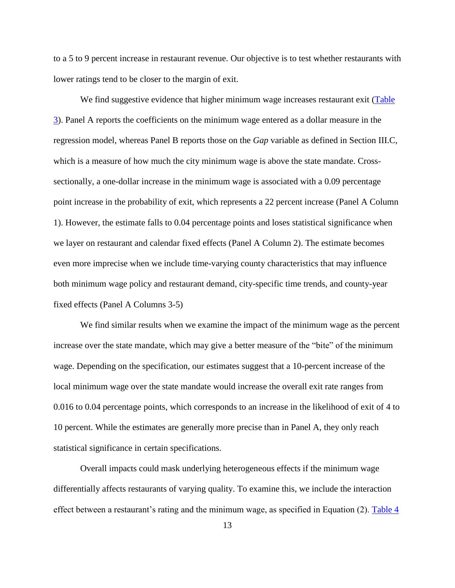to a 5 to 9 percent increase in restaurant revenue. Our objective is to test whether restaurants with lower ratings tend to be closer to the margin of exit.

We find suggestive evidence that higher minimum wage increases restaurant exit (Table [3\)](#page-28-1). Panel A reports the coefficients on the minimum wage entered as a dollar measure in the regression model, whereas Panel B reports those on the *Gap* variable as defined in Section III.C, which is a measure of how much the city minimum wage is above the state mandate. Crosssectionally, a one-dollar increase in the minimum wage is associated with a 0.09 percentage point increase in the probability of exit, which represents a 22 percent increase (Panel A Column 1). However, the estimate falls to 0.04 percentage points and loses statistical significance when we layer on restaurant and calendar fixed effects (Panel A Column 2). The estimate becomes even more imprecise when we include time-varying county characteristics that may influence both minimum wage policy and restaurant demand, city-specific time trends, and county-year fixed effects (Panel A Columns 3-5)

We find similar results when we examine the impact of the minimum wage as the percent increase over the state mandate, which may give a better measure of the "bite" of the minimum wage. Depending on the specification, our estimates suggest that a 10-percent increase of the local minimum wage over the state mandate would increase the overall exit rate ranges from 0.016 to 0.04 percentage points, which corresponds to an increase in the likelihood of exit of 4 to 10 percent. While the estimates are generally more precise than in Panel A, they only reach statistical significance in certain specifications.

Overall impacts could mask underlying heterogeneous effects if the minimum wage differentially affects restaurants of varying quality. To examine this, we include the interaction effect between a restaurant's rating and the minimum wage, as specified in Equation (2). [Table 4](#page-29-0)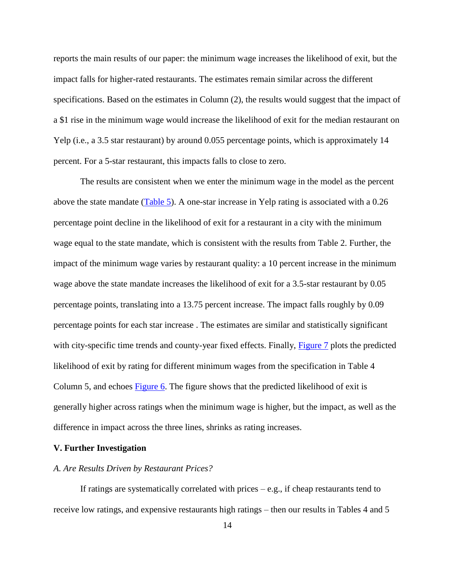reports the main results of our paper: the minimum wage increases the likelihood of exit, but the impact falls for higher-rated restaurants. The estimates remain similar across the different specifications. Based on the estimates in Column (2), the results would suggest that the impact of a \$1 rise in the minimum wage would increase the likelihood of exit for the median restaurant on Yelp (i.e., a 3.5 star restaurant) by around 0.055 percentage points, which is approximately 14 percent. For a 5-star restaurant, this impacts falls to close to zero.

The results are consistent when we enter the minimum wage in the model as the percent above the state mandate  $(Table 5)$ . A one-star increase in Yelp rating is associated with a 0.26 percentage point decline in the likelihood of exit for a restaurant in a city with the minimum wage equal to the state mandate, which is consistent with the results from Table 2. Further, the impact of the minimum wage varies by restaurant quality: a 10 percent increase in the minimum wage above the state mandate increases the likelihood of exit for a 3.5-star restaurant by 0.05 percentage points, translating into a 13.75 percent increase. The impact falls roughly by 0.09 percentage points for each star increase . The estimates are similar and statistically significant with city-specific time trends and county-year fixed effects. Finally, [Figure 7](#page-29-2) plots the predicted likelihood of exit by rating for different minimum wages from the specification in Table 4 Column 5, and echoes **Figure 6**. The figure shows that the predicted likelihood of exit is generally higher across ratings when the minimum wage is higher, but the impact, as well as the difference in impact across the three lines, shrinks as rating increases.

#### **V. Further Investigation**

#### *A. Are Results Driven by Restaurant Prices?*

If ratings are systematically correlated with prices  $-e.g.,$  if cheap restaurants tend to receive low ratings, and expensive restaurants high ratings – then our results in Tables 4 and 5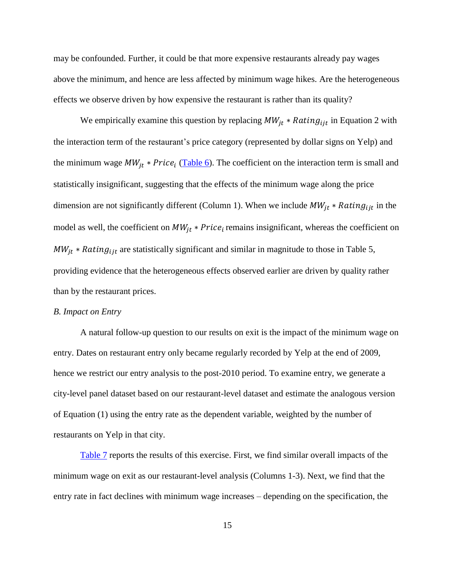may be confounded. Further, it could be that more expensive restaurants already pay wages above the minimum, and hence are less affected by minimum wage hikes. Are the heterogeneous effects we observe driven by how expensive the restaurant is rather than its quality?

We empirically examine this question by replacing  $MW_{it} * Rating_{i}$  in Equation 2 with the interaction term of the restaurant's price category (represented by dollar signs on Yelp) and the minimum wage  $MW_{jt} * Price_i$  [\(Table 6\)](#page-29-2). The coefficient on the interaction term is small and statistically insignificant, suggesting that the effects of the minimum wage along the price dimension are not significantly different (Column 1). When we include  $MW_{it} * Rating_{ijt}$  in the model as well, the coefficient on  $MW_{jt} * Price_i$  remains insignificant, whereas the coefficient on  $MW_{it} * Rating_{ijt}$  are statistically significant and similar in magnitude to those in Table 5, providing evidence that the heterogeneous effects observed earlier are driven by quality rather than by the restaurant prices.

#### *B. Impact on Entry*

A natural follow-up question to our results on exit is the impact of the minimum wage on entry. Dates on restaurant entry only became regularly recorded by Yelp at the end of 2009, hence we restrict our entry analysis to the post-2010 period. To examine entry, we generate a city-level panel dataset based on our restaurant-level dataset and estimate the analogous version of Equation (1) using the entry rate as the dependent variable, weighted by the number of restaurants on Yelp in that city.

[Table 7](#page-31-0) reports the results of this exercise. First, we find similar overall impacts of the minimum wage on exit as our restaurant-level analysis (Columns 1-3). Next, we find that the entry rate in fact declines with minimum wage increases – depending on the specification, the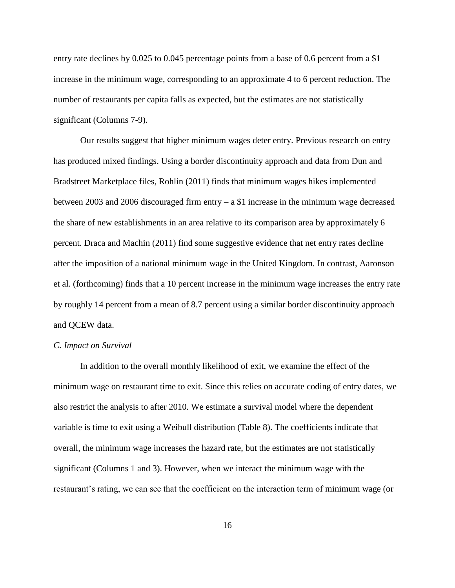entry rate declines by 0.025 to 0.045 percentage points from a base of 0.6 percent from a \$1 increase in the minimum wage, corresponding to an approximate 4 to 6 percent reduction. The number of restaurants per capita falls as expected, but the estimates are not statistically significant (Columns 7-9).

Our results suggest that higher minimum wages deter entry. Previous research on entry has produced mixed findings. Using a border discontinuity approach and data from Dun and Bradstreet Marketplace files, Rohlin (2011) finds that minimum wages hikes implemented between 2003 and 2006 discouraged firm entry – a \$1 increase in the minimum wage decreased the share of new establishments in an area relative to its comparison area by approximately 6 percent. Draca and Machin (2011) find some suggestive evidence that net entry rates decline after the imposition of a national minimum wage in the United Kingdom. In contrast, Aaronson et al. (forthcoming) finds that a 10 percent increase in the minimum wage increases the entry rate by roughly 14 percent from a mean of 8.7 percent using a similar border discontinuity approach and QCEW data.

#### *C. Impact on Survival*

In addition to the overall monthly likelihood of exit, we examine the effect of the minimum wage on restaurant time to exit. Since this relies on accurate coding of entry dates, we also restrict the analysis to after 2010. We estimate a survival model where the dependent variable is time to exit using a Weibull distribution (Table 8). The coefficients indicate that overall, the minimum wage increases the hazard rate, but the estimates are not statistically significant (Columns 1 and 3). However, when we interact the minimum wage with the restaurant's rating, we can see that the coefficient on the interaction term of minimum wage (or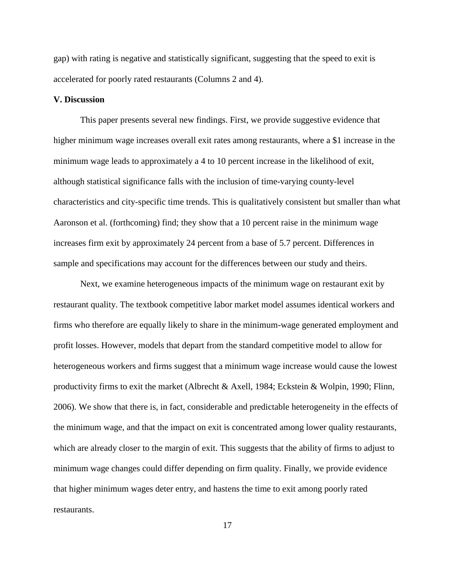gap) with rating is negative and statistically significant, suggesting that the speed to exit is accelerated for poorly rated restaurants (Columns 2 and 4).

#### **V. Discussion**

This paper presents several new findings. First, we provide suggestive evidence that higher minimum wage increases overall exit rates among restaurants, where a \$1 increase in the minimum wage leads to approximately a 4 to 10 percent increase in the likelihood of exit, although statistical significance falls with the inclusion of time-varying county-level characteristics and city-specific time trends. This is qualitatively consistent but smaller than what Aaronson et al. (forthcoming) find; they show that a 10 percent raise in the minimum wage increases firm exit by approximately 24 percent from a base of 5.7 percent. Differences in sample and specifications may account for the differences between our study and theirs.

Next, we examine heterogeneous impacts of the minimum wage on restaurant exit by restaurant quality. The textbook competitive labor market model assumes identical workers and firms who therefore are equally likely to share in the minimum-wage generated employment and profit losses. However, models that depart from the standard competitive model to allow for heterogeneous workers and firms suggest that a minimum wage increase would cause the lowest productivity firms to exit the market (Albrecht & Axell, 1984; Eckstein & Wolpin, 1990; Flinn, 2006). We show that there is, in fact, considerable and predictable heterogeneity in the effects of the minimum wage, and that the impact on exit is concentrated among lower quality restaurants, which are already closer to the margin of exit. This suggests that the ability of firms to adjust to minimum wage changes could differ depending on firm quality. Finally, we provide evidence that higher minimum wages deter entry, and hastens the time to exit among poorly rated restaurants.

17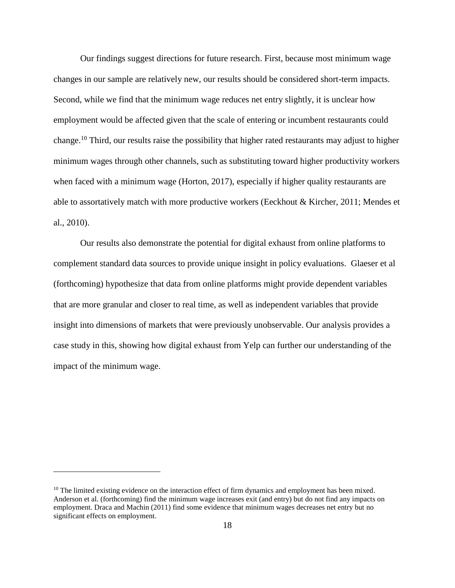Our findings suggest directions for future research. First, because most minimum wage changes in our sample are relatively new, our results should be considered short-term impacts. Second, while we find that the minimum wage reduces net entry slightly, it is unclear how employment would be affected given that the scale of entering or incumbent restaurants could change.<sup>10</sup> Third, our results raise the possibility that higher rated restaurants may adjust to higher minimum wages through other channels, such as substituting toward higher productivity workers when faced with a minimum wage (Horton, 2017), especially if higher quality restaurants are able to assortatively match with more productive workers (Eeckhout & Kircher, 2011; Mendes et al., 2010).

Our results also demonstrate the potential for digital exhaust from online platforms to complement standard data sources to provide unique insight in policy evaluations. Glaeser et al (forthcoming) hypothesize that data from online platforms might provide dependent variables that are more granular and closer to real time, as well as independent variables that provide insight into dimensions of markets that were previously unobservable. Our analysis provides a case study in this, showing how digital exhaust from Yelp can further our understanding of the impact of the minimum wage.

 $\overline{a}$ 

 $10$  The limited existing evidence on the interaction effect of firm dynamics and employment has been mixed. Anderson et al. (forthcoming) find the minimum wage increases exit (and entry) but do not find any impacts on employment. Draca and Machin (2011) find some evidence that minimum wages decreases net entry but no significant effects on employment.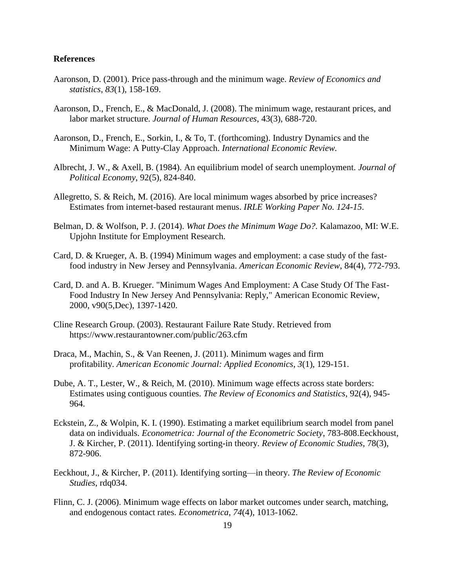#### **References**

- Aaronson, D. (2001). Price pass-through and the minimum wage. *Review of Economics and statistics*, *83*(1), 158-169.
- Aaronson, D., French, E., & MacDonald, J. (2008). The minimum wage, restaurant prices, and labor market structure. *Journal of Human Resources*, 43(3), 688-720.
- Aaronson, D., French, E., Sorkin, I., & To, T. (forthcoming). Industry Dynamics and the Minimum Wage: A Putty-Clay Approach. *International Economic Review.*
- Albrecht, J. W., & Axell, B. (1984). An equilibrium model of search unemployment. *Journal of Political Economy*, 92(5), 824-840.
- Allegretto, S. & Reich, M. (2016). Are local minimum wages absorbed by price increases? Estimates from internet-based restaurant menus. *IRLE Working Paper No. 124-15*.
- Belman, D. & Wolfson, P. J. (2014). *What Does the Minimum Wage Do?*. Kalamazoo, MI: W.E. Upjohn Institute for Employment Research.
- Card, D. & Krueger, A. B. (1994) Minimum wages and employment: a case study of the fastfood industry in New Jersey and Pennsylvania. *American Economic Review,* 84(4), 772-793.
- Card, D. and A. B. Krueger. "Minimum Wages And Employment: A Case Study Of The Fast-Food Industry In New Jersey And Pennsylvania: Reply," American Economic Review, 2000, v90(5,Dec), 1397-1420.
- Cline Research Group. (2003). Restaurant Failure Rate Study. Retrieved from https://www.restaurantowner.com/public/263.cfm
- Draca, M., Machin, S., & Van Reenen, J. (2011). Minimum wages and firm profitability. *American Economic Journal: Applied Economics*, *3*(1), 129-151.
- Dube, A. T., Lester, W., & Reich, M. (2010). Minimum wage effects across state borders: Estimates using contiguous counties. *The Review of Economics and Statistics*, 92(4), 945- 964.
- Eckstein, Z., & Wolpin, K. I. (1990). Estimating a market equilibrium search model from panel data on individuals. *Econometrica: Journal of the Econometric Society*, 783-808.Eeckhoust, J. & Kircher, P. (2011). Identifying sorting-in theory. *Review of Economic Studies*, 78(3), 872-906.
- Eeckhout, J., & Kircher, P. (2011). Identifying sorting—in theory. *The Review of Economic Studies*, rdq034.
- Flinn, C. J. (2006). Minimum wage effects on labor market outcomes under search, matching, and endogenous contact rates. *Econometrica*, *74*(4), 1013-1062.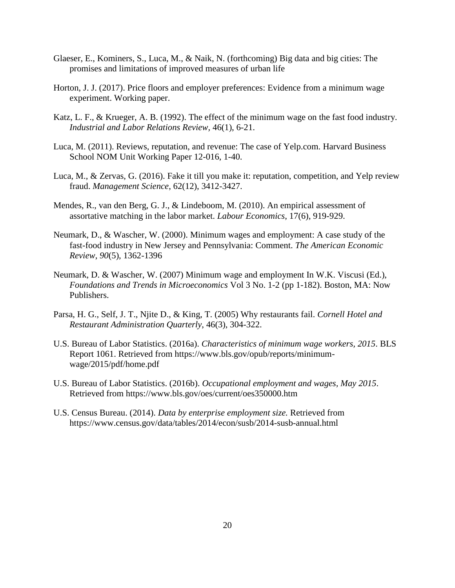- Glaeser, E., Kominers, S., Luca, M., & Naik, N. (forthcoming) Big data and big cities: The promises and limitations of improved measures of urban life
- Horton, J. J. (2017). Price floors and employer preferences: Evidence from a minimum wage experiment. Working paper.
- Katz, L. F., & Krueger, A. B. (1992). The effect of the minimum wage on the fast food industry. *Industrial and Labor Relations Review,* 46(1), 6-21.
- Luca, M. (2011). Reviews, reputation, and revenue: The case of Yelp.com. Harvard Business School NOM Unit Working Paper 12-016, 1-40.
- Luca, M., & Zervas, G. (2016). Fake it till you make it: reputation, competition, and Yelp review fraud. *Management Science*, 62(12), 3412-3427.
- Mendes, R., van den Berg, G. J., & Lindeboom, M. (2010). An empirical assessment of assortative matching in the labor market. *Labour Economics*, 17(6), 919-929.
- Neumark, D., & Wascher, W. (2000). Minimum wages and employment: A case study of the fast-food industry in New Jersey and Pennsylvania: Comment. *The American Economic Review*, *90*(5), 1362-1396
- Neumark, D. & Wascher, W. (2007) Minimum wage and employment In W.K. Viscusi (Ed.), *Foundations and Trends in Microeconomics* Vol 3 No. 1-2 (pp 1-182). Boston, MA: Now Publishers.
- Parsa, H. G., Self, J. T., Njite D., & King, T. (2005) Why restaurants fail. *Cornell Hotel and Restaurant Administration Quarterly*, 46(3), 304-322.
- U.S. Bureau of Labor Statistics. (2016a). *Characteristics of minimum wage workers, 2015*. BLS Report 1061. Retrieved from https://www.bls.gov/opub/reports/minimumwage/2015/pdf/home.pdf
- U.S. Bureau of Labor Statistics. (2016b). *Occupational employment and wages, May 2015*. Retrieved from https://www.bls.gov/oes/current/oes350000.htm
- U.S. Census Bureau. (2014). *Data by enterprise employment size.* Retrieved from https://www.census.gov/data/tables/2014/econ/susb/2014-susb-annual.html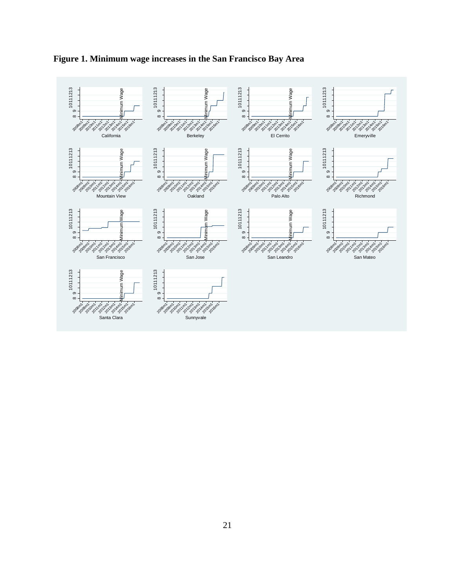

<span id="page-22-0"></span>**Figure 1. Minimum wage increases in the San Francisco Bay Area**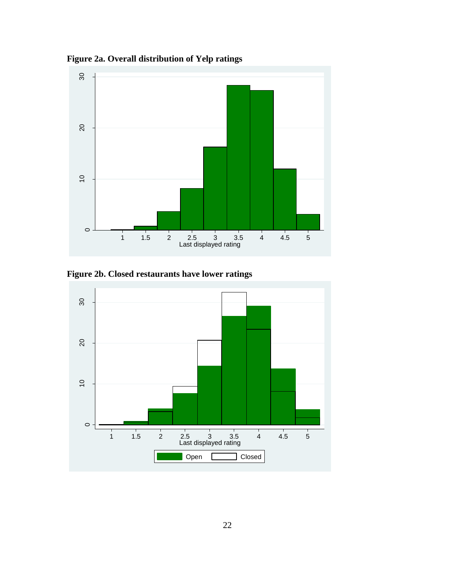<span id="page-23-1"></span>

<span id="page-23-0"></span>**Figure 2a. Overall distribution of Yelp ratings**

**Figure 2b. Closed restaurants have lower ratings**

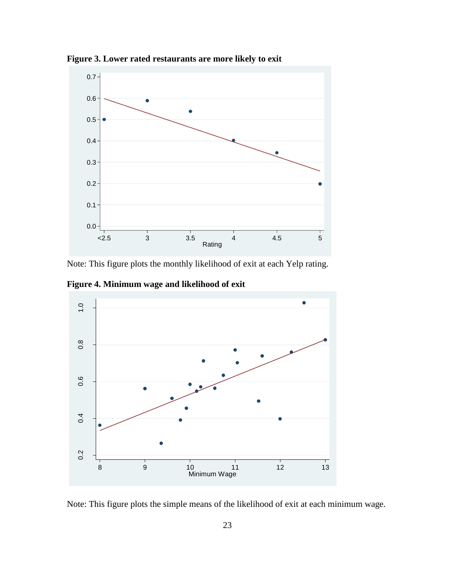

<span id="page-24-0"></span>**Figure 3. Lower rated restaurants are more likely to exit**

Note: This figure plots the monthly likelihood of exit at each Yelp rating.

<span id="page-24-1"></span>**Figure 4. Minimum wage and likelihood of exit**



Note: This figure plots the simple means of the likelihood of exit at each minimum wage.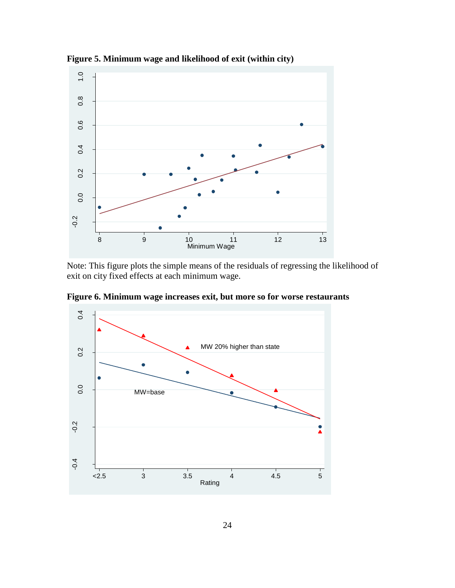

<span id="page-25-0"></span>**Figure 5. Minimum wage and likelihood of exit (within city)**

Note: This figure plots the simple means of the residuals of regressing the likelihood of exit on city fixed effects at each minimum wage.

<span id="page-25-1"></span>**Figure 6. Minimum wage increases exit, but more so for worse restaurants**

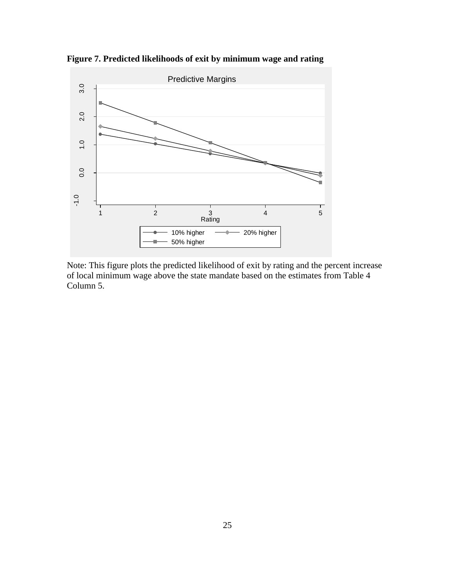

**Figure 7. Predicted likelihoods of exit by minimum wage and rating**

<span id="page-26-0"></span>Note: This figure plots the predicted likelihood of exit by rating and the percent increase of local minimum wage above the state mandate based on the estimates from Table 4 Column 5.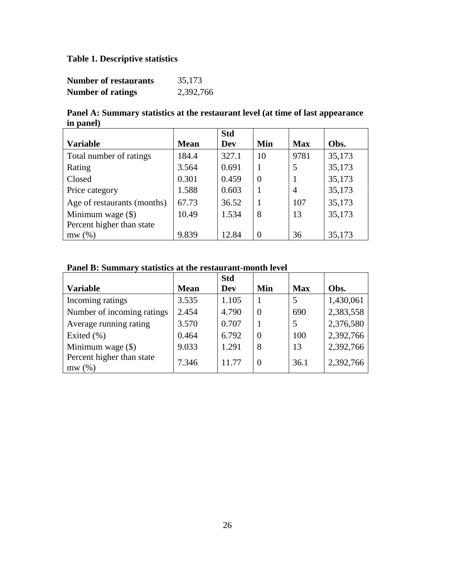# **Table 1. Descriptive statistics**

| <b>Number of restaurants</b> | 35,173    |
|------------------------------|-----------|
| <b>Number of ratings</b>     | 2,392,766 |

**Panel A: Summary statistics at the restaurant level (at time of last appearance in panel)**

|                             |             | <b>Std</b> |                |            |        |
|-----------------------------|-------------|------------|----------------|------------|--------|
| <b>Variable</b>             | <b>Mean</b> | Dev        | Min            | <b>Max</b> | Obs.   |
| Total number of ratings     | 184.4       | 327.1      | 10             | 9781       | 35,173 |
| Rating                      | 3.564       | 0.691      |                | 5          | 35,173 |
| Closed                      | 0.301       | 0.459      | $\overline{0}$ |            | 35,173 |
| Price category              | 1.588       | 0.603      |                | 4          | 35,173 |
| Age of restaurants (months) | 67.73       | 36.52      | 1              | 107        | 35,173 |
| Minimum wage $(\$)$         | 10.49       | 1.534      | 8              | 13         | 35,173 |
| Percent higher than state   |             |            |                |            |        |
| mw(%)                       | 9.839       | 12.84      | 0              | 36         | 35,173 |

# **Panel B: Summary statistics at the restaurant-month level**

|                                    |             | <b>Std</b> |                |            |           |
|------------------------------------|-------------|------------|----------------|------------|-----------|
| <b>Variable</b>                    | <b>Mean</b> | Dev        | Min            | <b>Max</b> | Obs.      |
| Incoming ratings                   | 3.535       | 1.105      |                | 5          | 1,430,061 |
| Number of incoming ratings         | 2.454       | 4.790      | $\overline{0}$ | 690        | 2,383,558 |
| Average running rating             | 3.570       | 0.707      |                | .5         | 2,376,580 |
| Exited $(\% )$                     | 0.464       | 6.792      | $\overline{0}$ | 100        | 2,392,766 |
| Minimum wage $(\$)$                | 9.033       | 1.291      | 8              | 13         | 2,392,766 |
| Percent higher than state<br>mw(%) | 7.346       | 11.77      | $\overline{0}$ | 36.1       | 2,392,766 |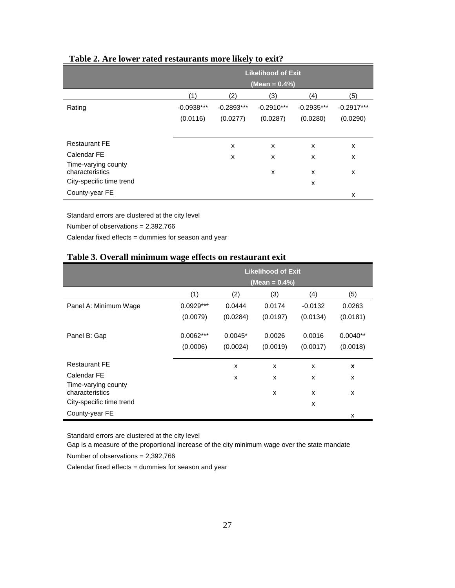|                                        | <b>Likelihood of Exit</b><br>(Mean = 0.4%) |              |              |              |              |  |  |
|----------------------------------------|--------------------------------------------|--------------|--------------|--------------|--------------|--|--|
|                                        | (1)                                        | (2)          | (3)          | (4)          | (5)          |  |  |
| Rating                                 | $-0.0938***$                               | $-0.2893***$ | $-0.2910***$ | $-0.2935***$ | $-0.2917***$ |  |  |
|                                        | (0.0116)                                   | (0.0277)     | (0.0287)     | (0.0280)     | (0.0290)     |  |  |
|                                        |                                            |              |              |              |              |  |  |
| <b>Restaurant FE</b>                   |                                            | X            | X            | X            | x            |  |  |
| Calendar FE                            |                                            | X            | X            | X            | x            |  |  |
| Time-varying county<br>characteristics |                                            |              | X            | X            | x            |  |  |
| City-specific time trend               |                                            |              |              | X            |              |  |  |
| County-year FE                         |                                            |              |              |              | x            |  |  |

# <span id="page-28-0"></span>**Table 2. Are lower rated restaurants more likely to exit?**

Standard errors are clustered at the city level

Number of observations = 2,392,766

Calendar fixed effects = dummies for season and year

#### <span id="page-28-1"></span>**Table 3. Overall minimum wage effects on restaurant exit**

|                                        | <b>Likelihood of Exit</b> |           |          |                           |            |  |  |
|----------------------------------------|---------------------------|-----------|----------|---------------------------|------------|--|--|
|                                        | (Mean = $0.4\%$ )         |           |          |                           |            |  |  |
|                                        | (1)                       | (2)       | (3)      | (4)                       | (5)        |  |  |
| Panel A: Minimum Wage                  | $0.0929***$               | 0.0444    | 0.0174   | $-0.0132$                 | 0.0263     |  |  |
|                                        | (0.0079)                  | (0.0284)  | (0.0197) | (0.0134)                  | (0.0181)   |  |  |
| Panel B: Gap                           | $0.0062***$               | $0.0045*$ | 0.0026   | 0.0016                    | $0.0040**$ |  |  |
|                                        | (0.0006)                  | (0.0024)  | (0.0019) | (0.0017)                  | (0.0018)   |  |  |
| <b>Restaurant FE</b>                   |                           | X         | X        | X                         | X          |  |  |
| Calendar FE                            |                           | X         | X        | X                         | X          |  |  |
| Time-varying county<br>characteristics |                           |           | X        | $\boldsymbol{\mathsf{x}}$ | X          |  |  |
| City-specific time trend               |                           |           |          | X                         |            |  |  |
| County-year FE                         |                           |           |          |                           | X          |  |  |

Standard errors are clustered at the city level

Gap is a measure of the proportional increase of the city minimum wage over the state mandate

Number of observations = 2,392,766

Calendar fixed effects = dummies for season and year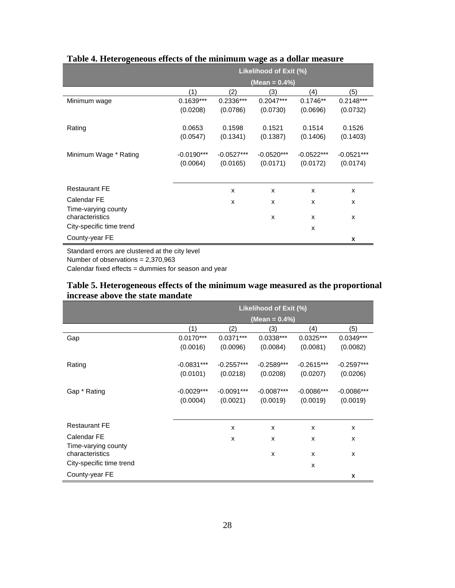|                                        | Likelihood of Exit (%) |              |               |              |              |  |  |
|----------------------------------------|------------------------|--------------|---------------|--------------|--------------|--|--|
|                                        |                        |              | (Mean = 0.4%) |              |              |  |  |
|                                        | (1)                    | (2)          | (3)           | (4)          | (5)          |  |  |
| Minimum wage                           | $0.1639***$            | 0.2336***    | $0.2047***$   | $0.1746**$   | $0.2148***$  |  |  |
|                                        | (0.0208)               | (0.0786)     | (0.0730)      | (0.0696)     | (0.0732)     |  |  |
| Rating                                 | 0.0653                 | 0.1598       | 0.1521        | 0.1514       | 0.1526       |  |  |
|                                        | (0.0547)               | (0.1341)     | (0.1387)      | (0.1406)     | (0.1403)     |  |  |
| Minimum Wage * Rating                  | $-0.0190***$           | $-0.0527***$ | $-0.0520***$  | $-0.0522***$ | $-0.0521***$ |  |  |
|                                        | (0.0064)               | (0.0165)     | (0.0171)      | (0.0172)     | (0.0174)     |  |  |
|                                        |                        |              |               |              |              |  |  |
| <b>Restaurant FE</b>                   |                        | X            | X             | $\mathsf{x}$ | X            |  |  |
| Calendar FE                            |                        | X            | X             | X            | x            |  |  |
| Time-varying county<br>characteristics |                        |              | X             | $\mathsf{x}$ | x            |  |  |
| City-specific time trend               |                        |              |               | X            |              |  |  |
| County-year FE                         |                        |              |               |              | X            |  |  |

# <span id="page-29-0"></span>**Table 4. Heterogeneous effects of the minimum wage as a dollar measure**

Standard errors are clustered at the city level

Number of observations = 2,370,963

l.

Calendar fixed effects = dummies for season and year

# <span id="page-29-1"></span>**Table 5. Heterogeneous effects of the minimum wage measured as the proportional increase above the state mandate**

<span id="page-29-2"></span>

|                                        | Likelihood of Exit (%) |              |                           |              |              |  |  |
|----------------------------------------|------------------------|--------------|---------------------------|--------------|--------------|--|--|
|                                        |                        |              | (Mean = 0.4%)             |              |              |  |  |
|                                        | (1)                    | (2)          | (3)                       | (4)          | (5)          |  |  |
| Gap                                    | $0.0170***$            | $0.0371***$  | $0.0338***$               | 0.0325***    | 0.0349***    |  |  |
|                                        | (0.0016)               | (0.0096)     | (0.0084)                  | (0.0081)     | (0.0082)     |  |  |
| Rating                                 | $-0.0831***$           | $-0.2557***$ | $-0.2589***$              | $-0.2615***$ | $-0.2597***$ |  |  |
|                                        | (0.0101)               | (0.0218)     | (0.0208)                  | (0.0207)     | (0.0206)     |  |  |
| Gap * Rating                           | $-0.0029***$           | $-0.0091***$ | $-0.0087***$              | $-0.0086***$ | $-0.0086***$ |  |  |
|                                        | (0.0004)               | (0.0021)     | (0.0019)                  | (0.0019)     | (0.0019)     |  |  |
|                                        |                        |              |                           |              |              |  |  |
| <b>Restaurant FE</b>                   |                        | X            | X                         | X            | X            |  |  |
| Calendar FE                            |                        | X            | X                         | X            | x            |  |  |
| Time-varying county<br>characteristics |                        |              | $\boldsymbol{\mathsf{x}}$ | X            | x            |  |  |
| City-specific time trend               |                        |              |                           | X            |              |  |  |
| County-year FE                         |                        |              |                           |              | x            |  |  |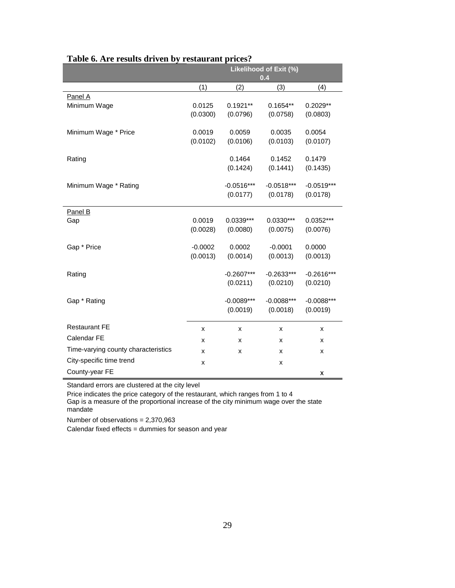|                                     | Likelihood of Exit (%) |                          |                          |                          |  |  |  |
|-------------------------------------|------------------------|--------------------------|--------------------------|--------------------------|--|--|--|
|                                     |                        |                          | 0.4                      |                          |  |  |  |
|                                     | (1)                    | (2)                      | (3)                      | (4)                      |  |  |  |
| Panel A                             |                        |                          |                          |                          |  |  |  |
| Minimum Wage                        | 0.0125                 | $0.1921**$               | $0.1654**$               | $0.2029**$               |  |  |  |
|                                     | (0.0300)               | (0.0796)                 | (0.0758)                 | (0.0803)                 |  |  |  |
| Minimum Wage * Price                | 0.0019                 | 0.0059                   | 0.0035                   | 0.0054                   |  |  |  |
|                                     | (0.0102)               | (0.0106)                 | (0.0103)                 | (0.0107)                 |  |  |  |
|                                     |                        |                          |                          |                          |  |  |  |
| Rating                              |                        | 0.1464                   | 0.1452                   | 0.1479                   |  |  |  |
|                                     |                        | (0.1424)                 | (0.1441)                 | (0.1435)                 |  |  |  |
|                                     |                        |                          |                          |                          |  |  |  |
| Minimum Wage * Rating               |                        | $-0.0516***$<br>(0.0177) | $-0.0518***$<br>(0.0178) | $-0.0519***$<br>(0.0178) |  |  |  |
|                                     |                        |                          |                          |                          |  |  |  |
| Panel B                             |                        |                          |                          |                          |  |  |  |
| Gap                                 | 0.0019                 | $0.0339***$              | $0.0330***$              | 0.0352***                |  |  |  |
|                                     | (0.0028)               | (0.0080)                 | (0.0075)                 | (0.0076)                 |  |  |  |
|                                     | $-0.0002$              | 0.0002                   | $-0.0001$                | 0.0000                   |  |  |  |
| Gap * Price                         | (0.0013)               | (0.0014)                 | (0.0013)                 | (0.0013)                 |  |  |  |
|                                     |                        |                          |                          |                          |  |  |  |
| Rating                              |                        | $-0.2607***$             | $-0.2633***$             | $-0.2616***$             |  |  |  |
|                                     |                        | (0.0211)                 | (0.0210)                 | (0.0210)                 |  |  |  |
|                                     |                        |                          |                          |                          |  |  |  |
| Gap * Rating                        |                        | $-0.0089***$             | $-0.0088***$             | $-0.0088***$             |  |  |  |
|                                     |                        | (0.0019)                 | (0.0018)                 | (0.0019)                 |  |  |  |
| <b>Restaurant FE</b>                | X                      | x                        | X                        | x                        |  |  |  |
| Calendar FE                         | x                      | x                        | x                        | x                        |  |  |  |
| Time-varying county characteristics | x                      | x                        | X                        | x                        |  |  |  |
| City-specific time trend            | X                      |                          | x                        |                          |  |  |  |
| County-year FE                      |                        |                          |                          | x                        |  |  |  |

#### **Table 6. Are results driven by restaurant prices?**

Standard errors are clustered at the city level

Price indicates the price category of the restaurant, which ranges from 1 to 4 Gap is a measure of the proportional increase of the city minimum wage over the state mandate

Number of observations = 2,370,963

Calendar fixed effects = dummies for season and year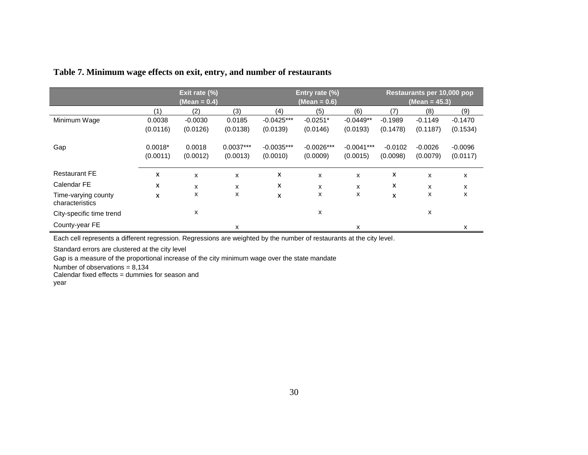# **Table 7. Minimum wage effects on exit, entry, and number of restaurants**

|                                        | Exit rate (%) |              |             | Entry rate (%) |              |              | Restaurants per 10,000 pop |           |           |
|----------------------------------------|---------------|--------------|-------------|----------------|--------------|--------------|----------------------------|-----------|-----------|
|                                        |               | (Mean = 0.4) |             | (Mean = 0.6)   |              |              | (Mean = 45.3)              |           |           |
|                                        | (1)           | (2)          | (3)         | (4)            | (5)          | (6)          | (7)                        | (8)       | (9)       |
| Minimum Wage                           | 0.0038        | $-0.0030$    | 0.0185      | $-0.0425***$   | $-0.0251*$   | $-0.0449**$  | $-0.1989$                  | $-0.1149$ | $-0.1470$ |
|                                        | (0.0116)      | (0.0126)     | (0.0138)    | (0.0139)       | (0.0146)     | (0.0193)     | (0.1478)                   | (0.1187)  | (0.1534)  |
| Gap                                    | $0.0018*$     | 0.0018       | $0.0037***$ | $-0.0035***$   | $-0.0026***$ | $-0.0041***$ | $-0.0102$                  | $-0.0026$ | $-0.0096$ |
|                                        | (0.0011)      | (0.0012)     | (0.0013)    | (0.0010)       | (0.0009)     | (0.0015)     | (0.0098)                   | (0.0079)  | (0.0117)  |
| <b>Restaurant FE</b>                   | x             | x            | x           | x              | X            | X            | x                          | X         | X         |
| Calendar FE                            | x             | x            | x           | x              | x            | x            | x                          | X         | x         |
| Time-varying county<br>characteristics | x             | x            | x           | X              | x            | X            | x                          | x         | x         |
| City-specific time trend               |               | x            |             |                | x            |              |                            | х         |           |
| County-year FE                         |               |              | x           |                |              | x            |                            |           | x         |

<span id="page-31-0"></span>Each cell represents a different regression. Regressions are weighted by the number of restaurants at the city level.

Standard errors are clustered at the city level

Gap is a measure of the proportional increase of the city minimum wage over the state mandate

Number of observations =  $8,134$ 

Calendar fixed effects = dummies for season and year